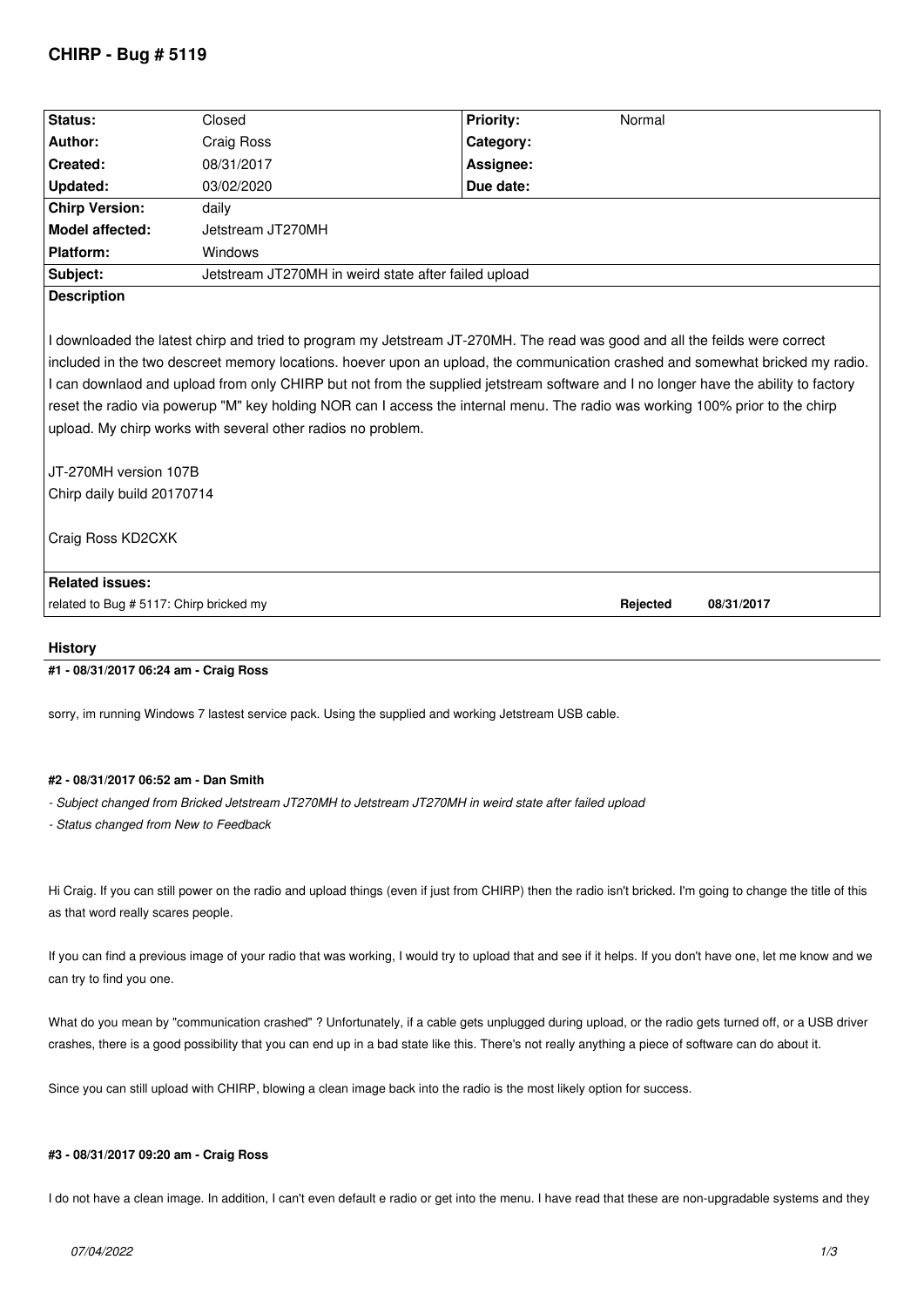# **CHIRP - Bug # 5119**

| Status:                                                                                                                            | Closed                                               | <b>Priority:</b> | Normal   |            |
|------------------------------------------------------------------------------------------------------------------------------------|------------------------------------------------------|------------------|----------|------------|
| Author:                                                                                                                            | Craig Ross                                           | Category:        |          |            |
| Created:                                                                                                                           | 08/31/2017                                           | Assignee:        |          |            |
| Updated:                                                                                                                           | 03/02/2020                                           | Due date:        |          |            |
| <b>Chirp Version:</b>                                                                                                              | daily                                                |                  |          |            |
| <b>Model affected:</b>                                                                                                             | Jetstream JT270MH                                    |                  |          |            |
| Platform:                                                                                                                          | Windows                                              |                  |          |            |
| Subject:                                                                                                                           | Jetstream JT270MH in weird state after failed upload |                  |          |            |
| <b>Description</b>                                                                                                                 |                                                      |                  |          |            |
|                                                                                                                                    |                                                      |                  |          |            |
| I downloaded the latest chirp and tried to program my Jetstream JT-270MH. The read was good and all the feilds were correct        |                                                      |                  |          |            |
| included in the two descreet memory locations. hoever upon an upload, the communication crashed and somewhat bricked my radio.     |                                                      |                  |          |            |
| I can downlaod and upload from only CHIRP but not from the supplied jetstream software and I no longer have the ability to factory |                                                      |                  |          |            |
| reset the radio via powerup "M" key holding NOR can I access the internal menu. The radio was working 100% prior to the chirp      |                                                      |                  |          |            |
| upload. My chirp works with several other radios no problem.                                                                       |                                                      |                  |          |            |
|                                                                                                                                    |                                                      |                  |          |            |
| JT-270MH version 107B                                                                                                              |                                                      |                  |          |            |
| Chirp daily build 20170714                                                                                                         |                                                      |                  |          |            |
|                                                                                                                                    |                                                      |                  |          |            |
| Craig Ross KD2CXK                                                                                                                  |                                                      |                  |          |            |
|                                                                                                                                    |                                                      |                  |          |            |
| <b>Related issues:</b>                                                                                                             |                                                      |                  |          |            |
| related to Bug # 5117: Chirp bricked my                                                                                            |                                                      |                  | Rejected | 08/31/2017 |
|                                                                                                                                    |                                                      |                  |          |            |

## **History**

## **#1 - 08/31/2017 06:24 am - Craig Ross**

*sorry, im running Windows 7 lastest service pack. Using the supplied and working Jetstream USB cable.*

## **#2 - 08/31/2017 06:52 am - Dan Smith**

- *Subject changed from Bricked Jetstream JT270MH to Jetstream JT270MH in weird state after failed upload*
- *Status changed from New to Feedback*

*Hi Craig. If you can still power on the radio and upload things (even if just from CHIRP) then the radio isn't bricked. I'm going to change the title of this as that word really scares people.*

*If you can find a previous image of your radio that was working, I would try to upload that and see if it helps. If you don't have one, let me know and we can try to find you one.*

*What do you mean by "communication crashed" ? Unfortunately, if a cable gets unplugged during upload, or the radio gets turned off, or a USB driver crashes, there is a good possibility that you can end up in a bad state like this. There's not really anything a piece of software can do about it.*

*Since you can still upload with CHIRP, blowing a clean image back into the radio is the most likely option for success.*

#### **#3 - 08/31/2017 09:20 am - Craig Ross**

*I do not have a clean image. In addition, I can't even default e radio or get into the menu. I have read that these are non-upgradable systems and they*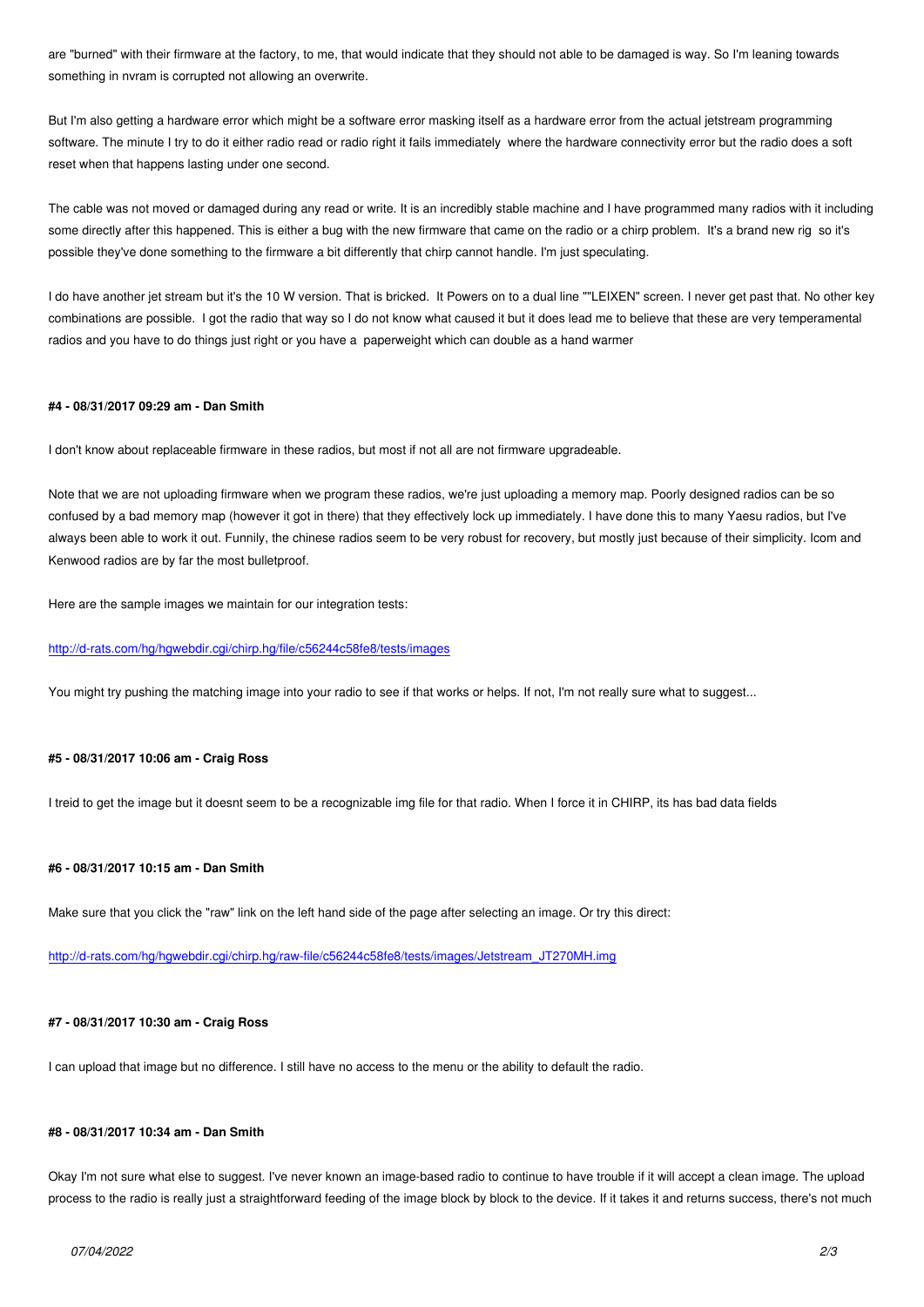*something in nvram is corrupted not allowing an overwrite.*

*But I'm also getting a hardware error which might be a software error masking itself as a hardware error from the actual jetstream programming software. The minute I try to do it either radio read or radio right it fails immediately where the hardware connectivity error but the radio does a soft reset when that happens lasting under one second.*

*The cable was not moved or damaged during any read or write. It is an incredibly stable machine and I have programmed many radios with it including some directly after this happened. This is either a bug with the new firmware that came on the radio or a chirp problem. It's a brand new rig so it's possible they've done something to the firmware a bit differently that chirp cannot handle. I'm just speculating.*

*I do have another jet stream but it's the 10 W version. That is bricked. It Powers on to a dual line ""LEIXEN" screen. I never get past that. No other key combinations are possible. I got the radio that way so I do not know what caused it but it does lead me to believe that these are very temperamental radios and you have to do things just right or you have a paperweight which can double as a hand warmer*

#### **#4 - 08/31/2017 09:29 am - Dan Smith**

*I don't know about replaceable firmware in these radios, but most if not all are not firmware upgradeable.*

*Note that we are not uploading firmware when we program these radios, we're just uploading a memory map. Poorly designed radios can be so confused by a bad memory map (however it got in there) that they effectively lock up immediately. I have done this to many Yaesu radios, but I've always been able to work it out. Funnily, the chinese radios seem to be very robust for recovery, but mostly just because of their simplicity. Icom and Kenwood radios are by far the most bulletproof.*

*Here are the sample images we maintain for our integration tests:*

### *http://d-rats.com/hg/hgwebdir.cgi/chirp.hg/file/c56244c58fe8/tests/images*

*You might try pushing the matching image into your radio to see if that works or helps. If not, I'm not really sure what to suggest...*

#### **#5 - 08/31/2017 10:06 am - Craig Ross**

*I treid to get the image but it doesnt seem to be a recognizable img file for that radio. When I force it in CHIRP, its has bad data fields*

#### **#6 - 08/31/2017 10:15 am - Dan Smith**

*Make sure that you click the "raw" link on the left hand side of the page after selecting an image. Or try this direct:*

*http://d-rats.com/hg/hgwebdir.cgi/chirp.hg/raw-file/c56244c58fe8/tests/images/Jetstream\_JT270MH.img*

#### **[#7 - 08/31/2017 10:30 am - Craig Ross](http://d-rats.com/hg/hgwebdir.cgi/chirp.hg/raw-file/c56244c58fe8/tests/images/Jetstream_JT270MH.img)**

*I can upload that image but no difference. I still have no access to the menu or the ability to default the radio.*

## **#8 - 08/31/2017 10:34 am - Dan Smith**

*Okay I'm not sure what else to suggest. I've never known an image-based radio to continue to have trouble if it will accept a clean image. The upload process to the radio is really just a straightforward feeding of the image block by block to the device. If it takes it and returns success, there's not much*